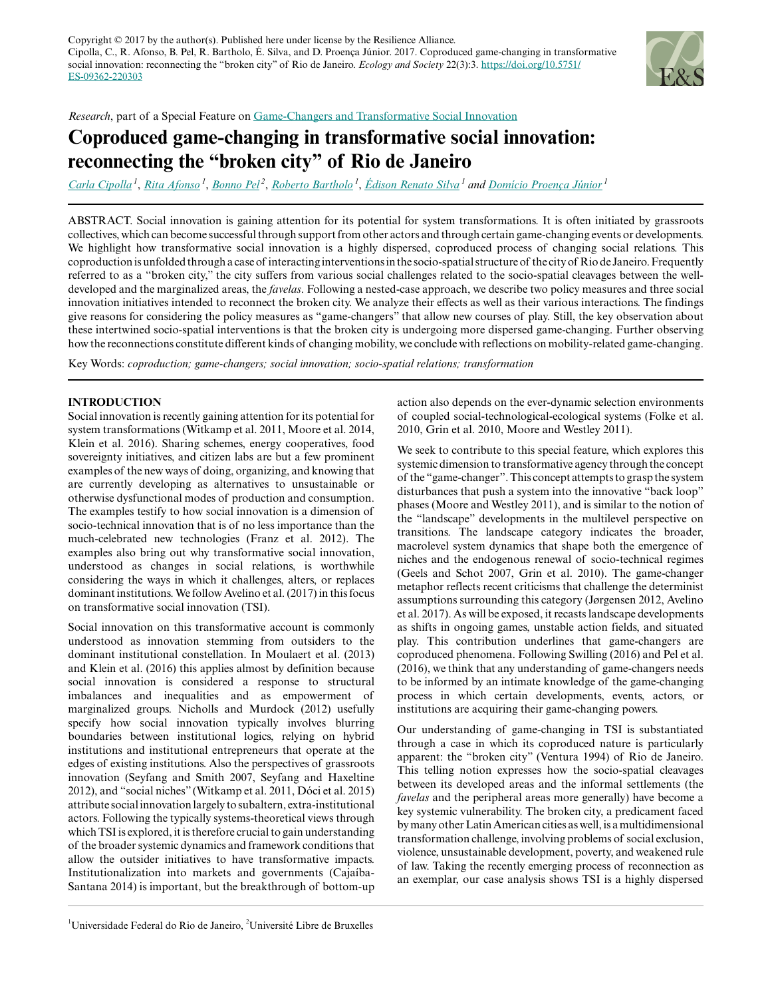

*Research*, part of a Special Feature on [Game-Changers and Transformative Social Innovation](https://www.ecologyandsociety.org/viewissue.php?sf=114)

# **Coproduced game-changing in transformative social innovation: reconnecting the "broken city" of Rio de Janeiro**

*[Carla Cipolla](mailto:carla.cipolla@ufrj.br)<sup>1</sup>* , *[Rita Afonso](mailto:ritaafonso@facc.ufrj.br)<sup>1</sup>* , *[Bonno Pel](mailto:Bonno.Pel@ulb.ac.be)<sup>2</sup>* , *[Roberto Bartholo](mailto:bartholo.roberto@gmail.com)<sup>1</sup>* , *[Édison Renato Silva](mailto:edison@poli.ufrj.br)<sup>1</sup> and [Domício Proença Júnior](mailto:domicio.proenca.jr@gmail.com)<sup>1</sup>*

ABSTRACT. Social innovation is gaining attention for its potential for system transformations. It is often initiated by grassroots collectives, which can become successful through support from other actors and through certain game-changing events or developments. We highlight how transformative social innovation is a highly dispersed, coproduced process of changing social relations. This coproduction is unfolded through a case of interacting interventions in the socio-spatial structure of the city of Rio de Janeiro. Frequently referred to as a "broken city," the city suffers from various social challenges related to the socio-spatial cleavages between the welldeveloped and the marginalized areas, the *favelas*. Following a nested-case approach, we describe two policy measures and three social innovation initiatives intended to reconnect the broken city. We analyze their effects as well as their various interactions. The findings give reasons for considering the policy measures as "game-changers" that allow new courses of play. Still, the key observation about these intertwined socio-spatial interventions is that the broken city is undergoing more dispersed game-changing. Further observing how the reconnections constitute different kinds of changing mobility, we conclude with reflections on mobility-related game-changing.

Key Words: *coproduction; game-changers; social innovation; socio-spatial relations; transformation*

## **INTRODUCTION**

Social innovation is recently gaining attention for its potential for system transformations (Witkamp et al. 2011, Moore et al. 2014, Klein et al. 2016). Sharing schemes, energy cooperatives, food sovereignty initiatives, and citizen labs are but a few prominent examples of the new ways of doing, organizing, and knowing that are currently developing as alternatives to unsustainable or otherwise dysfunctional modes of production and consumption. The examples testify to how social innovation is a dimension of socio-technical innovation that is of no less importance than the much-celebrated new technologies (Franz et al. 2012). The examples also bring out why transformative social innovation, understood as changes in social relations, is worthwhile considering the ways in which it challenges, alters, or replaces dominant institutions. We follow Avelino et al. (2017) in this focus on transformative social innovation (TSI).

Social innovation on this transformative account is commonly understood as innovation stemming from outsiders to the dominant institutional constellation. In Moulaert et al. (2013) and Klein et al. (2016) this applies almost by definition because social innovation is considered a response to structural imbalances and inequalities and as empowerment of marginalized groups. Nicholls and Murdock (2012) usefully specify how social innovation typically involves blurring boundaries between institutional logics, relying on hybrid institutions and institutional entrepreneurs that operate at the edges of existing institutions. Also the perspectives of grassroots innovation (Seyfang and Smith 2007, Seyfang and Haxeltine 2012), and "social niches" (Witkamp et al. 2011, Dóci et al. 2015) attribute social innovation largely to subaltern, extra-institutional actors. Following the typically systems-theoretical views through which TSI is explored, it is therefore crucial to gain understanding of the broader systemic dynamics and framework conditions that allow the outsider initiatives to have transformative impacts. Institutionalization into markets and governments (Cajaíba-Santana 2014) is important, but the breakthrough of bottom-up

action also depends on the ever-dynamic selection environments of coupled social-technological-ecological systems (Folke et al. 2010, Grin et al. 2010, Moore and Westley 2011).

We seek to contribute to this special feature, which explores this systemic dimension to transformative agency through the concept of the "game-changer". This concept attempts to grasp the system disturbances that push a system into the innovative "back loop" phases (Moore and Westley 2011), and is similar to the notion of the "landscape" developments in the multilevel perspective on transitions. The landscape category indicates the broader, macrolevel system dynamics that shape both the emergence of niches and the endogenous renewal of socio-technical regimes (Geels and Schot 2007, Grin et al. 2010). The game-changer metaphor reflects recent criticisms that challenge the determinist assumptions surrounding this category (Jørgensen 2012, Avelino et al. 2017). As will be exposed, it recasts landscape developments as shifts in ongoing games, unstable action fields, and situated play. This contribution underlines that game-changers are coproduced phenomena. Following Swilling (2016) and Pel et al. (2016), we think that any understanding of game-changers needs to be informed by an intimate knowledge of the game-changing process in which certain developments, events, actors, or institutions are acquiring their game-changing powers.

Our understanding of game-changing in TSI is substantiated through a case in which its coproduced nature is particularly apparent: the "broken city" (Ventura 1994) of Rio de Janeiro. This telling notion expresses how the socio-spatial cleavages between its developed areas and the informal settlements (the *favelas* and the peripheral areas more generally) have become a key systemic vulnerability. The broken city, a predicament faced by many other Latin American cities as well, is a multidimensional transformation challenge, involving problems of social exclusion, violence, unsustainable development, poverty, and weakened rule of law. Taking the recently emerging process of reconnection as an exemplar, our case analysis shows TSI is a highly dispersed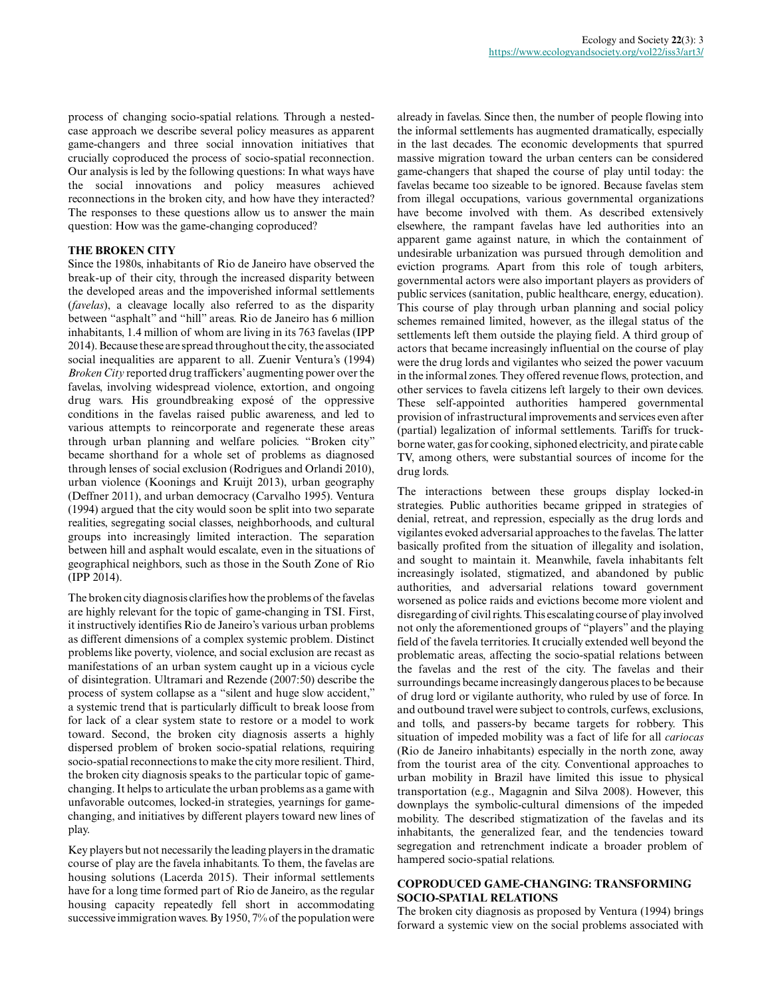process of changing socio-spatial relations. Through a nestedcase approach we describe several policy measures as apparent game-changers and three social innovation initiatives that crucially coproduced the process of socio-spatial reconnection. Our analysis is led by the following questions: In what ways have the social innovations and policy measures achieved reconnections in the broken city, and how have they interacted? The responses to these questions allow us to answer the main question: How was the game-changing coproduced?

# **THE BROKEN CITY**

Since the 1980s, inhabitants of Rio de Janeiro have observed the break-up of their city, through the increased disparity between the developed areas and the impoverished informal settlements (*favelas*), a cleavage locally also referred to as the disparity between "asphalt" and "hill" areas. Rio de Janeiro has 6 million inhabitants, 1.4 million of whom are living in its 763 favelas (IPP 2014). Because these are spread throughout the city, the associated social inequalities are apparent to all. Zuenir Ventura's (1994) *Broken City* reported drug traffickers' augmenting power over the favelas, involving widespread violence, extortion, and ongoing drug wars. His groundbreaking exposé of the oppressive conditions in the favelas raised public awareness, and led to various attempts to reincorporate and regenerate these areas through urban planning and welfare policies. "Broken city" became shorthand for a whole set of problems as diagnosed through lenses of social exclusion (Rodrigues and Orlandi 2010), urban violence (Koonings and Kruijt 2013), urban geography (Deffner 2011), and urban democracy (Carvalho 1995). Ventura (1994) argued that the city would soon be split into two separate realities, segregating social classes, neighborhoods, and cultural groups into increasingly limited interaction. The separation between hill and asphalt would escalate, even in the situations of geographical neighbors, such as those in the South Zone of Rio (IPP 2014).

The broken city diagnosis clarifies how the problems of the favelas are highly relevant for the topic of game-changing in TSI. First, it instructively identifies Rio de Janeiro's various urban problems as different dimensions of a complex systemic problem. Distinct problems like poverty, violence, and social exclusion are recast as manifestations of an urban system caught up in a vicious cycle of disintegration. Ultramari and Rezende (2007:50) describe the process of system collapse as a "silent and huge slow accident," a systemic trend that is particularly difficult to break loose from for lack of a clear system state to restore or a model to work toward. Second, the broken city diagnosis asserts a highly dispersed problem of broken socio-spatial relations, requiring socio-spatial reconnections to make the city more resilient. Third, the broken city diagnosis speaks to the particular topic of gamechanging. It helps to articulate the urban problems as a game with unfavorable outcomes, locked-in strategies, yearnings for gamechanging, and initiatives by different players toward new lines of play.

Key players but not necessarily the leading players in the dramatic course of play are the favela inhabitants. To them, the favelas are housing solutions (Lacerda 2015). Their informal settlements have for a long time formed part of Rio de Janeiro, as the regular housing capacity repeatedly fell short in accommodating successive immigration waves. By 1950, 7% of the population were already in favelas. Since then, the number of people flowing into the informal settlements has augmented dramatically, especially in the last decades. The economic developments that spurred massive migration toward the urban centers can be considered game-changers that shaped the course of play until today: the favelas became too sizeable to be ignored. Because favelas stem from illegal occupations, various governmental organizations have become involved with them. As described extensively elsewhere, the rampant favelas have led authorities into an apparent game against nature, in which the containment of undesirable urbanization was pursued through demolition and eviction programs. Apart from this role of tough arbiters, governmental actors were also important players as providers of public services (sanitation, public healthcare, energy, education). This course of play through urban planning and social policy schemes remained limited, however, as the illegal status of the settlements left them outside the playing field. A third group of actors that became increasingly influential on the course of play were the drug lords and vigilantes who seized the power vacuum in the informal zones. They offered revenue flows, protection, and other services to favela citizens left largely to their own devices. These self-appointed authorities hampered governmental provision of infrastructural improvements and services even after (partial) legalization of informal settlements. Tariffs for truckborne water, gas for cooking, siphoned electricity, and pirate cable TV, among others, were substantial sources of income for the drug lords.

The interactions between these groups display locked-in strategies. Public authorities became gripped in strategies of denial, retreat, and repression, especially as the drug lords and vigilantes evoked adversarial approaches to the favelas. The latter basically profited from the situation of illegality and isolation, and sought to maintain it. Meanwhile, favela inhabitants felt increasingly isolated, stigmatized, and abandoned by public authorities, and adversarial relations toward government worsened as police raids and evictions become more violent and disregarding of civil rights. This escalating course of play involved not only the aforementioned groups of "players" and the playing field of the favela territories. It crucially extended well beyond the problematic areas, affecting the socio-spatial relations between the favelas and the rest of the city. The favelas and their surroundings became increasingly dangerous places to be because of drug lord or vigilante authority, who ruled by use of force. In and outbound travel were subject to controls, curfews, exclusions, and tolls, and passers-by became targets for robbery. This situation of impeded mobility was a fact of life for all *cariocas* (Rio de Janeiro inhabitants) especially in the north zone, away from the tourist area of the city. Conventional approaches to urban mobility in Brazil have limited this issue to physical transportation (e.g., Magagnin and Silva 2008). However, this downplays the symbolic-cultural dimensions of the impeded mobility. The described stigmatization of the favelas and its inhabitants, the generalized fear, and the tendencies toward segregation and retrenchment indicate a broader problem of hampered socio-spatial relations.

# **COPRODUCED GAME-CHANGING: TRANSFORMING SOCIO-SPATIAL RELATIONS**

The broken city diagnosis as proposed by Ventura (1994) brings forward a systemic view on the social problems associated with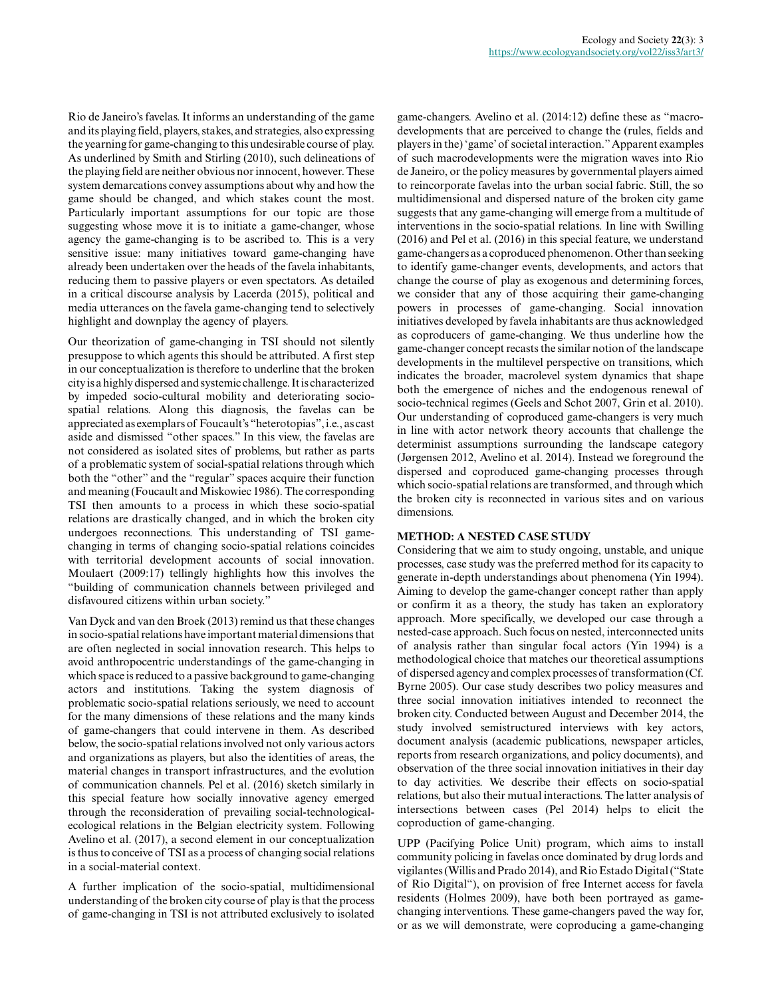Rio de Janeiro's favelas. It informs an understanding of the game and its playing field, players, stakes, and strategies, also expressing the yearning for game-changing to this undesirable course of play. As underlined by Smith and Stirling (2010), such delineations of the playing field are neither obvious nor innocent, however. These system demarcations convey assumptions about why and how the game should be changed, and which stakes count the most. Particularly important assumptions for our topic are those suggesting whose move it is to initiate a game-changer, whose agency the game-changing is to be ascribed to. This is a very sensitive issue: many initiatives toward game-changing have already been undertaken over the heads of the favela inhabitants, reducing them to passive players or even spectators. As detailed in a critical discourse analysis by Lacerda (2015), political and media utterances on the favela game-changing tend to selectively highlight and downplay the agency of players.

Our theorization of game-changing in TSI should not silently presuppose to which agents this should be attributed. A first step in our conceptualization is therefore to underline that the broken city is a highly dispersed and systemic challenge. It is characterized by impeded socio-cultural mobility and deteriorating sociospatial relations. Along this diagnosis, the favelas can be appreciated as exemplars of Foucault's "heterotopias", i.e., as cast aside and dismissed "other spaces." In this view, the favelas are not considered as isolated sites of problems, but rather as parts of a problematic system of social-spatial relations through which both the "other" and the "regular" spaces acquire their function and meaning (Foucault and Miskowiec 1986). The corresponding TSI then amounts to a process in which these socio-spatial relations are drastically changed, and in which the broken city undergoes reconnections. This understanding of TSI gamechanging in terms of changing socio-spatial relations coincides with territorial development accounts of social innovation. Moulaert (2009:17) tellingly highlights how this involves the "building of communication channels between privileged and disfavoured citizens within urban society."

Van Dyck and van den Broek (2013) remind us that these changes in socio-spatial relations have important material dimensions that are often neglected in social innovation research. This helps to avoid anthropocentric understandings of the game-changing in which space is reduced to a passive background to game-changing actors and institutions. Taking the system diagnosis of problematic socio-spatial relations seriously, we need to account for the many dimensions of these relations and the many kinds of game-changers that could intervene in them. As described below, the socio-spatial relations involved not only various actors and organizations as players, but also the identities of areas, the material changes in transport infrastructures, and the evolution of communication channels. Pel et al. (2016) sketch similarly in this special feature how socially innovative agency emerged through the reconsideration of prevailing social-technologicalecological relations in the Belgian electricity system. Following Avelino et al. (2017), a second element in our conceptualization is thus to conceive of TSI as a process of changing social relations in a social-material context.

A further implication of the socio-spatial, multidimensional understanding of the broken city course of play is that the process of game-changing in TSI is not attributed exclusively to isolated game-changers. Avelino et al. (2014:12) define these as "macrodevelopments that are perceived to change the (rules, fields and players in the) 'game' of societal interaction." Apparent examples of such macrodevelopments were the migration waves into Rio de Janeiro, or the policy measures by governmental players aimed to reincorporate favelas into the urban social fabric. Still, the so multidimensional and dispersed nature of the broken city game suggests that any game-changing will emerge from a multitude of interventions in the socio-spatial relations. In line with Swilling (2016) and Pel et al. (2016) in this special feature, we understand game-changers as a coproduced phenomenon. Other than seeking to identify game-changer events, developments, and actors that change the course of play as exogenous and determining forces, we consider that any of those acquiring their game-changing powers in processes of game-changing. Social innovation initiatives developed by favela inhabitants are thus acknowledged as coproducers of game-changing. We thus underline how the game-changer concept recasts the similar notion of the landscape developments in the multilevel perspective on transitions, which indicates the broader, macrolevel system dynamics that shape both the emergence of niches and the endogenous renewal of socio-technical regimes (Geels and Schot 2007, Grin et al. 2010). Our understanding of coproduced game-changers is very much in line with actor network theory accounts that challenge the determinist assumptions surrounding the landscape category (Jørgensen 2012, Avelino et al. 2014). Instead we foreground the dispersed and coproduced game-changing processes through which socio-spatial relations are transformed, and through which the broken city is reconnected in various sites and on various dimensions.

# **METHOD: A NESTED CASE STUDY**

Considering that we aim to study ongoing, unstable, and unique processes, case study was the preferred method for its capacity to generate in-depth understandings about phenomena (Yin 1994). Aiming to develop the game-changer concept rather than apply or confirm it as a theory, the study has taken an exploratory approach. More specifically, we developed our case through a nested-case approach. Such focus on nested, interconnected units of analysis rather than singular focal actors (Yin 1994) is a methodological choice that matches our theoretical assumptions of dispersed agency and complex processes of transformation (Cf. Byrne 2005). Our case study describes two policy measures and three social innovation initiatives intended to reconnect the broken city. Conducted between August and December 2014, the study involved semistructured interviews with key actors, document analysis (academic publications, newspaper articles, reports from research organizations, and policy documents), and observation of the three social innovation initiatives in their day to day activities. We describe their effects on socio-spatial relations, but also their mutual interactions. The latter analysis of intersections between cases (Pel 2014) helps to elicit the coproduction of game-changing.

UPP (Pacifying Police Unit) program, which aims to install community policing in favelas once dominated by drug lords and vigilantes (Willis and Prado 2014), and Rio Estado Digital ("State of Rio Digital"), on provision of free Internet access for favela residents (Holmes 2009), have both been portrayed as gamechanging interventions. These game-changers paved the way for, or as we will demonstrate, were coproducing a game-changing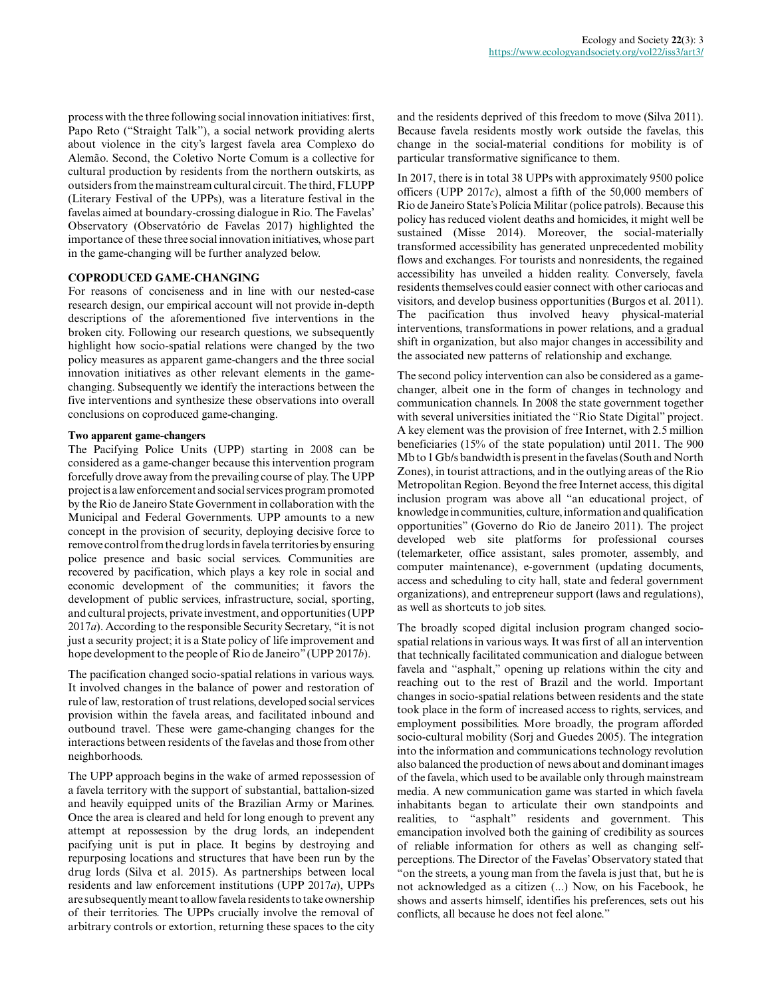process with the three following social innovation initiatives: first, Papo Reto ("Straight Talk"), a social network providing alerts about violence in the city's largest favela area Complexo do Alemão. Second, the Coletivo Norte Comum is a collective for cultural production by residents from the northern outskirts, as outsiders from the mainstream cultural circuit. The third, FLUPP (Literary Festival of the UPPs), was a literature festival in the favelas aimed at boundary-crossing dialogue in Rio. The Favelas' Observatory (Observatório de Favelas 2017) highlighted the importance of these three social innovation initiatives, whose part in the game-changing will be further analyzed below.

## **COPRODUCED GAME-CHANGING**

For reasons of conciseness and in line with our nested-case research design, our empirical account will not provide in-depth descriptions of the aforementioned five interventions in the broken city. Following our research questions, we subsequently highlight how socio-spatial relations were changed by the two policy measures as apparent game-changers and the three social innovation initiatives as other relevant elements in the gamechanging. Subsequently we identify the interactions between the five interventions and synthesize these observations into overall conclusions on coproduced game-changing.

#### **Two apparent game-changers**

The Pacifying Police Units (UPP) starting in 2008 can be considered as a game-changer because this intervention program forcefully drove away from the prevailing course of play. The UPP project is a law enforcement and social services program promoted by the Rio de Janeiro State Government in collaboration with the Municipal and Federal Governments. UPP amounts to a new concept in the provision of security, deploying decisive force to remove control from the drug lords in favela territories by ensuring police presence and basic social services. Communities are recovered by pacification, which plays a key role in social and economic development of the communities; it favors the development of public services, infrastructure, social, sporting, and cultural projects, private investment, and opportunities (UPP 2017*a*). According to the responsible Security Secretary, "it is not just a security project; it is a State policy of life improvement and hope development to the people of Rio de Janeiro" (UPP 2017*b*).

The pacification changed socio-spatial relations in various ways. It involved changes in the balance of power and restoration of rule of law, restoration of trust relations, developed social services provision within the favela areas, and facilitated inbound and outbound travel. These were game-changing changes for the interactions between residents of the favelas and those from other neighborhoods.

The UPP approach begins in the wake of armed repossession of a favela territory with the support of substantial, battalion-sized and heavily equipped units of the Brazilian Army or Marines. Once the area is cleared and held for long enough to prevent any attempt at repossession by the drug lords, an independent pacifying unit is put in place. It begins by destroying and repurposing locations and structures that have been run by the drug lords (Silva et al. 2015). As partnerships between local residents and law enforcement institutions (UPP 2017*a*), UPPs are subsequently meant to allow favela residents to take ownership of their territories. The UPPs crucially involve the removal of arbitrary controls or extortion, returning these spaces to the city

and the residents deprived of this freedom to move (Silva 2011). Because favela residents mostly work outside the favelas, this change in the social-material conditions for mobility is of particular transformative significance to them.

In 2017, there is in total 38 UPPs with approximately 9500 police officers (UPP 2017*c*), almost a fifth of the 50,000 members of Rio de Janeiro State's Polícia Militar (police patrols). Because this policy has reduced violent deaths and homicides, it might well be sustained (Misse 2014). Moreover, the social-materially transformed accessibility has generated unprecedented mobility flows and exchanges. For tourists and nonresidents, the regained accessibility has unveiled a hidden reality. Conversely, favela residents themselves could easier connect with other cariocas and visitors, and develop business opportunities (Burgos et al. 2011). The pacification thus involved heavy physical-material interventions, transformations in power relations, and a gradual shift in organization, but also major changes in accessibility and the associated new patterns of relationship and exchange.

The second policy intervention can also be considered as a gamechanger, albeit one in the form of changes in technology and communication channels. In 2008 the state government together with several universities initiated the "Rio State Digital" project. A key element was the provision of free Internet, with 2.5 million beneficiaries (15% of the state population) until 2011. The 900 Mb to 1 Gb/s bandwidth is present in the favelas (South and North Zones), in tourist attractions, and in the outlying areas of the Rio Metropolitan Region. Beyond the free Internet access, this digital inclusion program was above all "an educational project, of knowledge in communities, culture, information and qualification opportunities" (Governo do Rio de Janeiro 2011). The project developed web site platforms for professional courses (telemarketer, office assistant, sales promoter, assembly, and computer maintenance), e-government (updating documents, access and scheduling to city hall, state and federal government organizations), and entrepreneur support (laws and regulations), as well as shortcuts to job sites.

The broadly scoped digital inclusion program changed sociospatial relations in various ways. It was first of all an intervention that technically facilitated communication and dialogue between favela and "asphalt," opening up relations within the city and reaching out to the rest of Brazil and the world. Important changes in socio-spatial relations between residents and the state took place in the form of increased access to rights, services, and employment possibilities. More broadly, the program afforded socio-cultural mobility (Sorj and Guedes 2005). The integration into the information and communications technology revolution also balanced the production of news about and dominant images of the favela, which used to be available only through mainstream media. A new communication game was started in which favela inhabitants began to articulate their own standpoints and realities, to "asphalt" residents and government. This emancipation involved both the gaining of credibility as sources of reliable information for others as well as changing selfperceptions. The Director of the Favelas' Observatory stated that "on the streets, a young man from the favela is just that, but he is not acknowledged as a citizen (...) Now, on his Facebook, he shows and asserts himself, identifies his preferences, sets out his conflicts, all because he does not feel alone."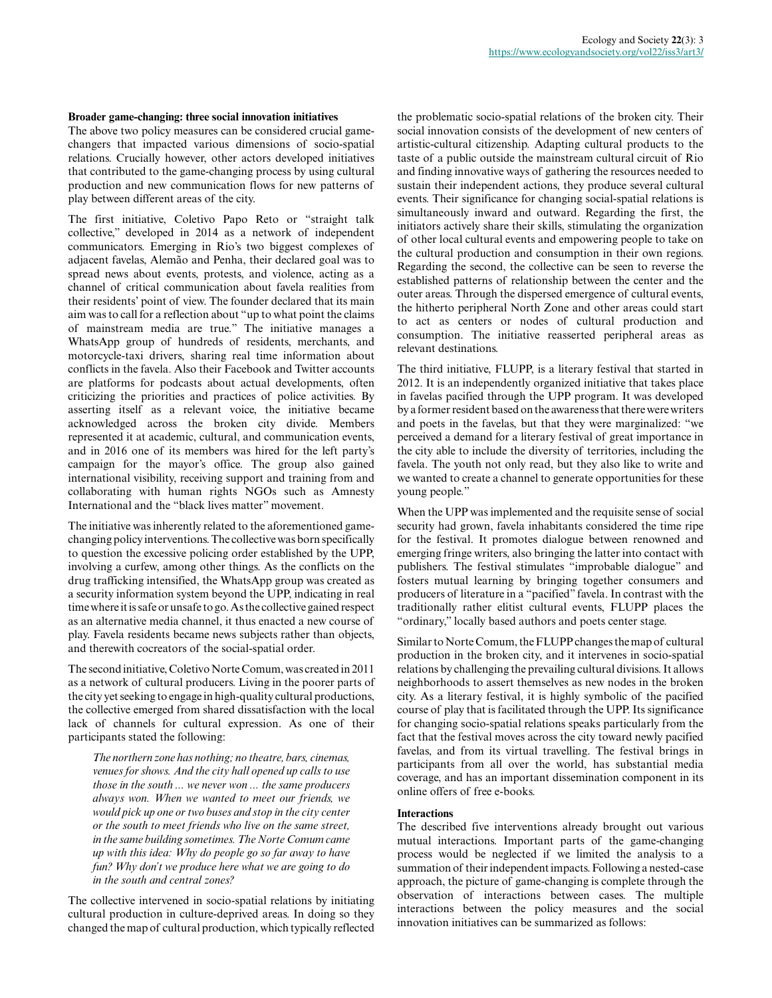#### **Broader game-changing: three social innovation initiatives**

The above two policy measures can be considered crucial gamechangers that impacted various dimensions of socio-spatial relations. Crucially however, other actors developed initiatives that contributed to the game-changing process by using cultural production and new communication flows for new patterns of play between different areas of the city.

The first initiative, Coletivo Papo Reto or "straight talk collective," developed in 2014 as a network of independent communicators. Emerging in Rio's two biggest complexes of adjacent favelas, Alemão and Penha, their declared goal was to spread news about events, protests, and violence, acting as a channel of critical communication about favela realities from their residents' point of view. The founder declared that its main aim was to call for a reflection about "up to what point the claims of mainstream media are true." The initiative manages a WhatsApp group of hundreds of residents, merchants, and motorcycle-taxi drivers, sharing real time information about conflicts in the favela. Also their Facebook and Twitter accounts are platforms for podcasts about actual developments, often criticizing the priorities and practices of police activities. By asserting itself as a relevant voice, the initiative became acknowledged across the broken city divide. Members represented it at academic, cultural, and communication events, and in 2016 one of its members was hired for the left party's campaign for the mayor's office. The group also gained international visibility, receiving support and training from and collaborating with human rights NGOs such as Amnesty International and the "black lives matter" movement.

The initiative was inherently related to the aforementioned gamechanging policy interventions. The collective was born specifically to question the excessive policing order established by the UPP, involving a curfew, among other things. As the conflicts on the drug trafficking intensified, the WhatsApp group was created as a security information system beyond the UPP, indicating in real time where it is safe or unsafe to go. As the collective gained respect as an alternative media channel, it thus enacted a new course of play. Favela residents became news subjects rather than objects, and therewith cocreators of the social-spatial order.

The second initiative, Coletivo Norte Comum, was created in 2011 as a network of cultural producers. Living in the poorer parts of the city yet seeking to engage in high-quality cultural productions, the collective emerged from shared dissatisfaction with the local lack of channels for cultural expression. As one of their participants stated the following:

*The northern zone has nothing; no theatre, bars, cinemas, venues for shows. And the city hall opened up calls to use those in the south ... we never won ... the same producers always won. When we wanted to meet our friends, we would pick up one or two buses and stop in the city center or the south to meet friends who live on the same street, in the same building sometimes. The Norte Comum came up with this idea: Why do people go so far away to have fun? Why don't we produce here what we are going to do in the south and central zones?*

The collective intervened in socio-spatial relations by initiating cultural production in culture-deprived areas. In doing so they changed the map of cultural production, which typically reflected

the problematic socio-spatial relations of the broken city. Their social innovation consists of the development of new centers of artistic-cultural citizenship. Adapting cultural products to the taste of a public outside the mainstream cultural circuit of Rio and finding innovative ways of gathering the resources needed to sustain their independent actions, they produce several cultural events. Their significance for changing social-spatial relations is simultaneously inward and outward. Regarding the first, the initiators actively share their skills, stimulating the organization of other local cultural events and empowering people to take on the cultural production and consumption in their own regions. Regarding the second, the collective can be seen to reverse the established patterns of relationship between the center and the outer areas. Through the dispersed emergence of cultural events, the hitherto peripheral North Zone and other areas could start to act as centers or nodes of cultural production and consumption. The initiative reasserted peripheral areas as relevant destinations.

The third initiative, FLUPP, is a literary festival that started in 2012. It is an independently organized initiative that takes place in favelas pacified through the UPP program. It was developed by a former resident based on the awareness that there were writers and poets in the favelas, but that they were marginalized: "we perceived a demand for a literary festival of great importance in the city able to include the diversity of territories, including the favela. The youth not only read, but they also like to write and we wanted to create a channel to generate opportunities for these young people."

When the UPP was implemented and the requisite sense of social security had grown, favela inhabitants considered the time ripe for the festival. It promotes dialogue between renowned and emerging fringe writers, also bringing the latter into contact with publishers. The festival stimulates "improbable dialogue" and fosters mutual learning by bringing together consumers and producers of literature in a "pacified" favela. In contrast with the traditionally rather elitist cultural events, FLUPP places the "ordinary," locally based authors and poets center stage.

Similar to Norte Comum, the FLUPP changes the map of cultural production in the broken city, and it intervenes in socio-spatial relations by challenging the prevailing cultural divisions. It allows neighborhoods to assert themselves as new nodes in the broken city. As a literary festival, it is highly symbolic of the pacified course of play that is facilitated through the UPP. Its significance for changing socio-spatial relations speaks particularly from the fact that the festival moves across the city toward newly pacified favelas, and from its virtual travelling. The festival brings in participants from all over the world, has substantial media coverage, and has an important dissemination component in its online offers of free e-books.

#### **Interactions**

The described five interventions already brought out various mutual interactions. Important parts of the game-changing process would be neglected if we limited the analysis to a summation of their independent impacts. Following a nested-case approach, the picture of game-changing is complete through the observation of interactions between cases. The multiple interactions between the policy measures and the social innovation initiatives can be summarized as follows: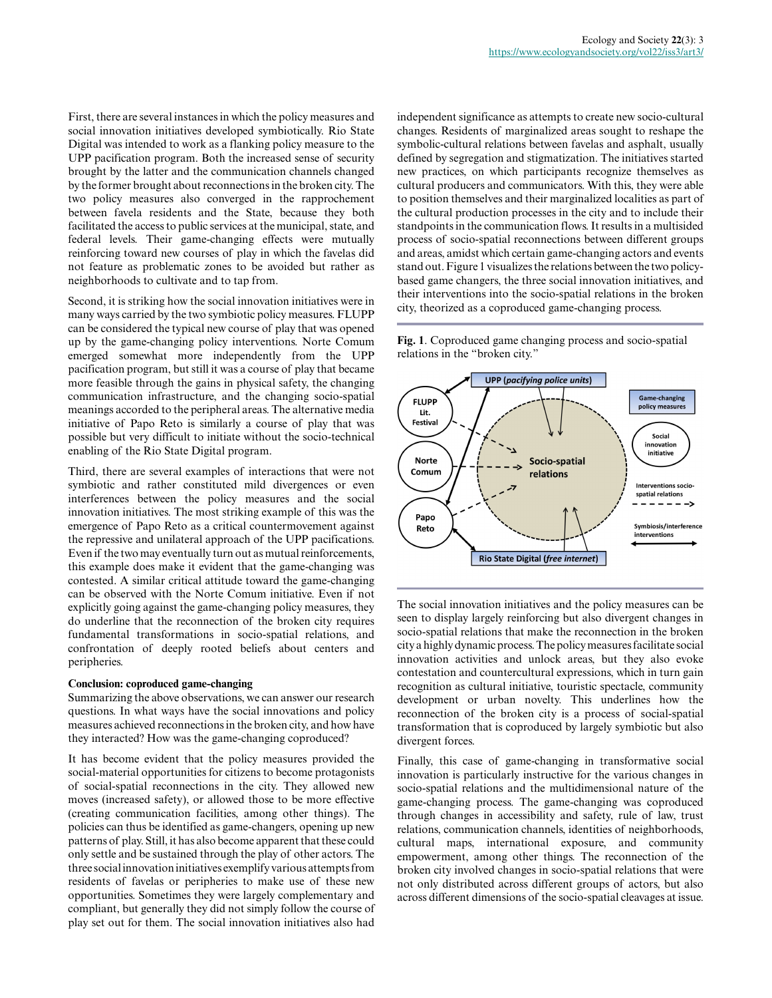First, there are several instances in which the policy measures and social innovation initiatives developed symbiotically. Rio State Digital was intended to work as a flanking policy measure to the UPP pacification program. Both the increased sense of security brought by the latter and the communication channels changed by the former brought about reconnections in the broken city. The two policy measures also converged in the rapprochement between favela residents and the State, because they both facilitated the access to public services at the municipal, state, and federal levels. Their game-changing effects were mutually reinforcing toward new courses of play in which the favelas did not feature as problematic zones to be avoided but rather as neighborhoods to cultivate and to tap from.

Second, it is striking how the social innovation initiatives were in many ways carried by the two symbiotic policy measures. FLUPP can be considered the typical new course of play that was opened up by the game-changing policy interventions. Norte Comum emerged somewhat more independently from the UPP pacification program, but still it was a course of play that became more feasible through the gains in physical safety, the changing communication infrastructure, and the changing socio-spatial meanings accorded to the peripheral areas. The alternative media initiative of Papo Reto is similarly a course of play that was possible but very difficult to initiate without the socio-technical enabling of the Rio State Digital program.

Third, there are several examples of interactions that were not symbiotic and rather constituted mild divergences or even interferences between the policy measures and the social innovation initiatives. The most striking example of this was the emergence of Papo Reto as a critical countermovement against the repressive and unilateral approach of the UPP pacifications. Even if the two may eventually turn out as mutual reinforcements, this example does make it evident that the game-changing was contested. A similar critical attitude toward the game-changing can be observed with the Norte Comum initiative. Even if not explicitly going against the game-changing policy measures, they do underline that the reconnection of the broken city requires fundamental transformations in socio-spatial relations, and confrontation of deeply rooted beliefs about centers and peripheries.

#### **Conclusion: coproduced game-changing**

Summarizing the above observations, we can answer our research questions. In what ways have the social innovations and policy measures achieved reconnections in the broken city, and how have they interacted? How was the game-changing coproduced?

It has become evident that the policy measures provided the social-material opportunities for citizens to become protagonists of social-spatial reconnections in the city. They allowed new moves (increased safety), or allowed those to be more effective (creating communication facilities, among other things). The policies can thus be identified as game-changers, opening up new patterns of play. Still, it has also become apparent that these could only settle and be sustained through the play of other actors. The three social innovation initiatives exemplify various attempts from residents of favelas or peripheries to make use of these new opportunities. Sometimes they were largely complementary and compliant, but generally they did not simply follow the course of play set out for them. The social innovation initiatives also had

independent significance as attempts to create new socio-cultural changes. Residents of marginalized areas sought to reshape the symbolic-cultural relations between favelas and asphalt, usually defined by segregation and stigmatization. The initiatives started new practices, on which participants recognize themselves as cultural producers and communicators. With this, they were able to position themselves and their marginalized localities as part of the cultural production processes in the city and to include their standpoints in the communication flows. It results in a multisided process of socio-spatial reconnections between different groups and areas, amidst which certain game-changing actors and events stand out. Figure 1 visualizes the relations between the two policybased game changers, the three social innovation initiatives, and their interventions into the socio-spatial relations in the broken city, theorized as a coproduced game-changing process.

**Fig. 1**. Coproduced game changing process and socio-spatial relations in the "broken city."



The social innovation initiatives and the policy measures can be seen to display largely reinforcing but also divergent changes in socio-spatial relations that make the reconnection in the broken city a highly dynamic process. The policy measures facilitate social innovation activities and unlock areas, but they also evoke contestation and countercultural expressions, which in turn gain recognition as cultural initiative, touristic spectacle, community development or urban novelty. This underlines how the reconnection of the broken city is a process of social-spatial transformation that is coproduced by largely symbiotic but also divergent forces.

Finally, this case of game-changing in transformative social innovation is particularly instructive for the various changes in socio-spatial relations and the multidimensional nature of the game-changing process. The game-changing was coproduced through changes in accessibility and safety, rule of law, trust relations, communication channels, identities of neighborhoods, cultural maps, international exposure, and community empowerment, among other things. The reconnection of the broken city involved changes in socio-spatial relations that were not only distributed across different groups of actors, but also across different dimensions of the socio-spatial cleavages at issue.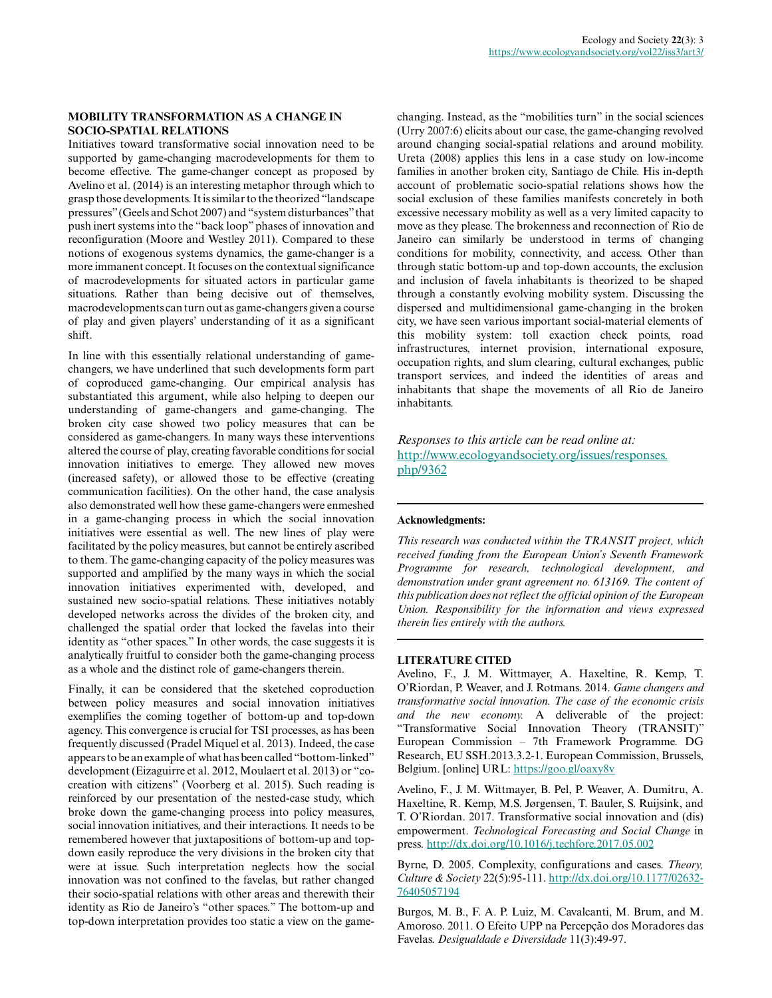# **MOBILITY TRANSFORMATION AS A CHANGE IN SOCIO-SPATIAL RELATIONS**

Initiatives toward transformative social innovation need to be supported by game-changing macrodevelopments for them to become effective. The game-changer concept as proposed by Avelino et al. (2014) is an interesting metaphor through which to grasp those developments. It is similar to the theorized "landscape pressures" (Geels and Schot 2007) and "system disturbances" that push inert systems into the "back loop" phases of innovation and reconfiguration (Moore and Westley 2011). Compared to these notions of exogenous systems dynamics, the game-changer is a more immanent concept. It focuses on the contextual significance of macrodevelopments for situated actors in particular game situations. Rather than being decisive out of themselves, macrodevelopments can turn out as game-changers given a course of play and given players' understanding of it as a significant shift.

In line with this essentially relational understanding of gamechangers, we have underlined that such developments form part of coproduced game-changing. Our empirical analysis has substantiated this argument, while also helping to deepen our understanding of game-changers and game-changing. The broken city case showed two policy measures that can be considered as game-changers. In many ways these interventions altered the course of play, creating favorable conditions for social innovation initiatives to emerge. They allowed new moves (increased safety), or allowed those to be effective (creating communication facilities). On the other hand, the case analysis also demonstrated well how these game-changers were enmeshed in a game-changing process in which the social innovation initiatives were essential as well. The new lines of play were facilitated by the policy measures, but cannot be entirely ascribed to them. The game-changing capacity of the policy measures was supported and amplified by the many ways in which the social innovation initiatives experimented with, developed, and sustained new socio-spatial relations. These initiatives notably developed networks across the divides of the broken city, and challenged the spatial order that locked the favelas into their identity as "other spaces." In other words, the case suggests it is analytically fruitful to consider both the game-changing process as a whole and the distinct role of game-changers therein.

Finally, it can be considered that the sketched coproduction between policy measures and social innovation initiatives exemplifies the coming together of bottom-up and top-down agency. This convergence is crucial for TSI processes, as has been frequently discussed (Pradel Miquel et al. 2013). Indeed, the case appears to be an example of what has been called "bottom-linked" development (Eizaguirre et al. 2012, Moulaert et al. 2013) or "cocreation with citizens" (Voorberg et al. 2015). Such reading is reinforced by our presentation of the nested-case study, which broke down the game-changing process into policy measures, social innovation initiatives, and their interactions. It needs to be remembered however that juxtapositions of bottom-up and topdown easily reproduce the very divisions in the broken city that were at issue. Such interpretation neglects how the social innovation was not confined to the favelas, but rather changed their socio-spatial relations with other areas and therewith their identity as Rio de Janeiro's "other spaces." The bottom-up and top-down interpretation provides too static a view on the gamechanging. Instead, as the "mobilities turn" in the social sciences (Urry 2007:6) elicits about our case, the game-changing revolved around changing social-spatial relations and around mobility. Ureta (2008) applies this lens in a case study on low-income families in another broken city, Santiago de Chile. His in-depth account of problematic socio-spatial relations shows how the social exclusion of these families manifests concretely in both excessive necessary mobility as well as a very limited capacity to move as they please. The brokenness and reconnection of Rio de Janeiro can similarly be understood in terms of changing conditions for mobility, connectivity, and access. Other than through static bottom-up and top-down accounts, the exclusion and inclusion of favela inhabitants is theorized to be shaped through a constantly evolving mobility system. Discussing the dispersed and multidimensional game-changing in the broken city, we have seen various important social-material elements of this mobility system: toll exaction check points, road infrastructures, internet provision, international exposure, occupation rights, and slum clearing, cultural exchanges, public transport services, and indeed the identities of areas and inhabitants that shape the movements of all Rio de Janeiro inhabitants.

*Responses to this article can be read online at:* [http://www.ecologyandsociety.org/issues/responses.](http://www.ecologyandsociety.org/issues/responses.php/9362) [php/9362](http://www.ecologyandsociety.org/issues/responses.php/9362)

#### **Acknowledgments:**

*This research was conducted within the TRANSIT project, which received funding from the European Union's Seventh Framework Programme for research, technological development, and demonstration under grant agreement no. 613169. The content of this publication does not reflect the official opinion of the European Union. Responsibility for the information and views expressed therein lies entirely with the authors.*

#### **LITERATURE CITED**

Avelino, F., J. M. Wittmayer, A. Haxeltine, R. Kemp, T. O'Riordan, P. Weaver, and J. Rotmans. 2014. *Game changers and transformative social innovation. The case of the economic crisis and the new economy.* A deliverable of the project: "Transformative Social Innovation Theory (TRANSIT)" European Commission – 7th Framework Programme. DG Research, EU SSH.2013.3.2-1. European Commission, Brussels, Belgium. [online] URL:<https://goo.gl/oaxy8v>

Avelino, F., J. M. Wittmayer, B. Pel, P. Weaver, A. Dumitru, A. Haxeltine, R. Kemp, M.S. Jørgensen, T. Bauler, S. Ruijsink, and T. O'Riordan. 2017. Transformative social innovation and (dis) empowerment. *Technological Forecasting and Social Change* in press. [http://dx.doi.org/10.1016/j.techfore.2017.05.002](http://dx.doi.org/10.1016%2Fj.techfore.2017.05.002) 

Byrne, D. 2005. Complexity, configurations and cases. *Theory, Culture & Society* 22(5):95-111. [http://dx.doi.org/10.1177/02632](http://dx.doi.org/10.1177%2F0263276405057194) [76405057194](http://dx.doi.org/10.1177%2F0263276405057194)

Burgos, M. B., F. A. P. Luiz, M. Cavalcanti, M. Brum, and M. Amoroso. 2011. O Efeito UPP na Percepção dos Moradores das Favelas. *Desigualdade e Diversidade* 11(3):49-97.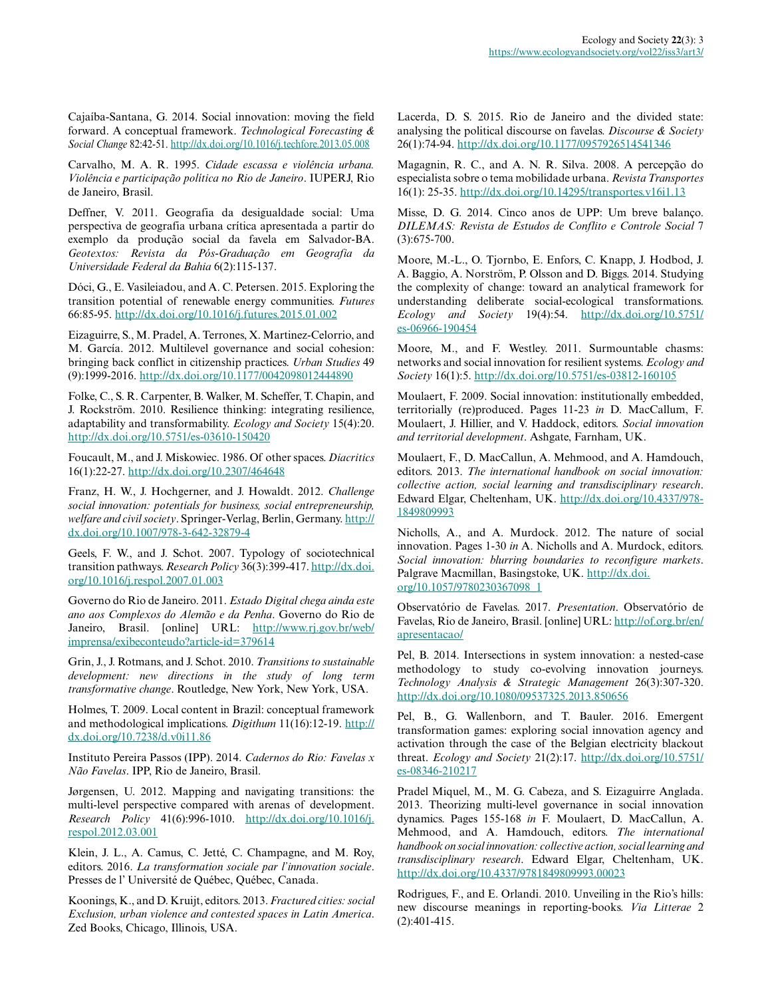Cajaíba-Santana, G. 2014. Social innovation: moving the field forward. A conceptual framework. *Technological Forecasting & Social Change* 82:42-51. [http://dx.doi.org/10.1016/j.techfore.2013.05.008](http://dx.doi.org/10.1016%2Fj.techfore.2013.05.008)

Carvalho, M. A. R. 1995. *Cidade escassa e violência urbana. Violência e participação política no Rio de Janeiro*. IUPERJ, Rio de Janeiro, Brasil.

Deffner, V. 2011. Geografia da desigualdade social: Uma perspectiva de geografia urbana crítica apresentada a partir do exemplo da produção social da favela em Salvador-BA. *Geotextos: Revista da Pós-Graduação em Geografia da Universidade Federal da Bahia* 6(2):115-137.

Dóci, G., E. Vasileiadou, and A. C. Petersen. 2015. Exploring the transition potential of renewable energy communities. *Futures* 66:85-95. [http://dx.doi.org/10.1016/j.futures.2015.01.002](http://dx.doi.org/10.1016%2Fj.futures.2015.01.002)

Eizaguirre, S., M. Pradel, A. Terrones, X. Martinez-Celorrio, and M. García. 2012. Multilevel governance and social cohesion: bringing back conflict in citizenship practices. *Urban Studies* 49 (9):1999-2016. [http://dx.doi.org/10.1177/0042098012444890](http://dx.doi.org/10.1177%2F0042098012444890) 

Folke, C., S. R. Carpenter, B. Walker, M. Scheffer, T. Chapin, and J. Rockström. 2010. Resilience thinking: integrating resilience, adaptability and transformability. *Ecology and Society* 15(4):20. [http://dx.doi.org/10.5751/es-03610-150420](http://dx.doi.org/10.5751%2Fes-03610-150420)

Foucault, M., and J. Miskowiec. 1986. Of other spaces. *Diacritics* 16(1):22-27. [http://dx.doi.org/10.2307/464648](http://dx.doi.org/10.2307%2F464648) 

Franz, H. W., J. Hochgerner, and J. Howaldt. 2012. *Challenge social innovation: potentials for business, social entrepreneurship, welfare and civil society*. Springer-Verlag, Berlin, Germany. [http://](http://dx.doi.org/10.1007%2F978-3-642-32879-4) [dx.doi.org/10.1007/978-3-642-32879-4](http://dx.doi.org/10.1007%2F978-3-642-32879-4)

Geels, F. W., and J. Schot. 2007. Typology of sociotechnical transition pathways. *Research Policy* 36(3):399-417. [http://dx.doi.](http://dx.doi.org/10.1016%2Fj.respol.2007.01.003) [org/10.1016/j.respol.2007.01.003](http://dx.doi.org/10.1016%2Fj.respol.2007.01.003)

Governo do Rio de Janeiro. 2011. *Estado Digital chega ainda este ano aos Complexos do Alemão e da Penha*. Governo do Rio de Janeiro, Brasil. [online] URL: [http://www.rj.gov.br/web/](http://www.rj.gov.br/web/imprensa/exibeconteudo?article-id=379614) [imprensa/exibeconteudo?article-id=379614](http://www.rj.gov.br/web/imprensa/exibeconteudo?article-id=379614) 

Grin, J., J. Rotmans, and J. Schot. 2010. *Transitions to sustainable development: new directions in the study of long term transformative change*. Routledge, New York, New York, USA.

Holmes, T. 2009. Local content in Brazil: conceptual framework and methodological implications. *Digithum* 11(16):12-19. [http://](http://dx.doi.org/10.7238%2Fd.v0i11.86) [dx.doi.org/10.7238/d.v0i11.86](http://dx.doi.org/10.7238%2Fd.v0i11.86)

Instituto Pereira Passos (IPP). 2014. *Cadernos do Rio: Favelas x Não Favelas*. IPP, Rio de Janeiro, Brasil.

Jørgensen, U. 2012. Mapping and navigating transitions: the multi-level perspective compared with arenas of development. *Research Policy* 41(6):996-1010. [http://dx.doi.org/10.1016/j.](http://dx.doi.org/10.1016%2Fj.respol.2012.03.001) [respol.2012.03.001](http://dx.doi.org/10.1016%2Fj.respol.2012.03.001) 

Klein, J. L., A. Camus, C. Jetté, C. Champagne, and M. Roy, editors. 2016. *La transformation sociale par l'innovation sociale*. Presses de l' Université de Québec, Québec, Canada.

Koonings, K., and D. Kruijt, editors. 2013. *Fractured cities: social Exclusion, urban violence and contested spaces in Latin America*. Zed Books, Chicago, Illinois, USA.

Lacerda, D. S. 2015. Rio de Janeiro and the divided state: analysing the political discourse on favelas. *Discourse & Society* 26(1):74-94. [http://dx.doi.org/10.1177/0957926514541346](http://dx.doi.org/10.1177%2F0957926514541346) 

Magagnin, R. C., and A. N. R. Silva. 2008. A percepção do especialista sobre o tema mobilidade urbana. *Revista Transportes* 16(1): 25-35. [http://dx.doi.org/10.14295/transportes.v16i1.13](http://dx.doi.org/10.14295%2Ftransportes.v16i1.13) 

Misse, D. G. 2014. Cinco anos de UPP: Um breve balanço. *DILEMAS: Revista de Estudos de Conflito e Controle Social* 7 (3):675-700.

Moore, M.-L., O. Tjornbo, E. Enfors, C. Knapp, J. Hodbod, J. A. Baggio, A. Norström, P. Olsson and D. Biggs. 2014. Studying the complexity of change: toward an analytical framework for understanding deliberate social-ecological transformations. *Ecology and Society* 19(4):54. [http://dx.doi.org/10.5751/](http://dx.doi.org/10.5751%2Fes-06966-190454) [es-06966-190454](http://dx.doi.org/10.5751%2Fes-06966-190454) 

Moore, M., and F. Westley. 2011. Surmountable chasms: networks and social innovation for resilient systems. *Ecology and Society* 16(1):5. [http://dx.doi.org/10.5751/es-03812-160105](http://dx.doi.org/10.5751%2Fes-03812-160105)

Moulaert, F. 2009. Social innovation: institutionally embedded, territorially (re)produced. Pages 11-23 *in* D. MacCallum, F. Moulaert, J. Hillier, and V. Haddock, editors. *Social innovation and territorial development*. Ashgate, Farnham, UK.

Moulaert, F., D. MacCallun, A. Mehmood, and A. Hamdouch, editors. 2013. *The international handbook on social innovation: collective action, social learning and transdisciplinary research*. Edward Elgar, Cheltenham, UK. [http://dx.doi.org/10.4337/978](http://dx.doi.org/10.4337%2F9781849809993) [1849809993](http://dx.doi.org/10.4337%2F9781849809993)

Nicholls, A., and A. Murdock. 2012. The nature of social innovation. Pages 1-30 *in* A. Nicholls and A. Murdock, editors. *Social innovation: blurring boundaries to reconfigure markets*. Palgrave Macmillan, Basingstoke, UK. [http://dx.doi.](http://dx.doi.org/10.1057%2F9780230367098_1) [org/10.1057/9780230367098\\_1](http://dx.doi.org/10.1057%2F9780230367098_1) 

Observatório de Favelas. 2017. *Presentation*. Observatório de Favelas, Rio de Janeiro, Brasil. [online] URL: [http://of.org.br/en/](http://of.org.br/en/apresentacao/) [apresentacao/](http://of.org.br/en/apresentacao/)

Pel, B. 2014. Intersections in system innovation: a nested-case methodology to study co-evolving innovation journeys. *Technology Analysis & Strategic Management* 26(3):307-320. [http://dx.doi.org/10.1080/09537325.2013.850656](http://dx.doi.org/10.1080%2F09537325.2013.850656)

Pel, B., G. Wallenborn, and T. Bauler. 2016. Emergent transformation games: exploring social innovation agency and activation through the case of the Belgian electricity blackout threat. *Ecology and Society* 21(2):17. [http://dx.doi.org/10.5751/](http://dx.doi.org/10.5751%2Fes-08346-210217) [es-08346-210217](http://dx.doi.org/10.5751%2Fes-08346-210217) 

Pradel Miquel, M., M. G. Cabeza, and S. Eizaguirre Anglada. 2013. Theorizing multi-level governance in social innovation dynamics. Pages 155-168 *in* F. Moulaert, D. MacCallun, A. Mehmood, and A. Hamdouch, editors. *The international handbook on social innovation: collective action, social learning and transdisciplinary research*. Edward Elgar, Cheltenham, UK. <http://dx.doi.org/10.4337/9781849809993.00023>

Rodrigues, F., and E. Orlandi. 2010. Unveiling in the Rio's hills: new discourse meanings in reporting-books. *Via Litterae* 2 (2):401-415.